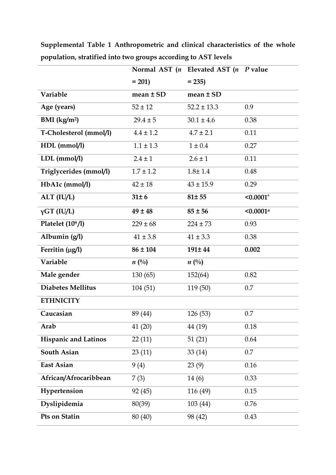|                          |               | Normal AST $(n$ Elevated AST $(n$ P value |                         |
|--------------------------|---------------|-------------------------------------------|-------------------------|
|                          | $= 201$       | $= 235$                                   |                         |
| Variable                 | $mean \pm SD$ | $mean \pm SD$                             |                         |
| Age (years)              | $52 \pm 12$   | $52.2 \pm 13.3$                           | 0.9                     |
| BMI $(kg/m2)$            | $29.4 \pm 5$  | $30.1 \pm 4.6$                            | 0.38                    |
| T-Cholesterol (mmol/l)   | $4.4 \pm 1.2$ | $4.7 \pm 2.1$                             | 0.11                    |
| HDL (mmol/l)             | $1.1 \pm 1.3$ | $1 \pm 0.4$                               | 0.27                    |
| $LDL$ (mmol/l)           | $2.4 \pm 1$   | $2.6 \pm 1$                               | 0.11                    |
| Triglycerides (mmol/l)   | $1.7 \pm 1.2$ | $1.8 \pm 1.4$                             | 0.48                    |
| HbA1c (mmol/l)           | $42 \pm 18$   | $43 \pm 15.9$                             | 0.29                    |
| ALT (IU/L)               | $31 \pm 6$    | 81±55                                     | $< 0.0001$ <sup>a</sup> |
| $\gamma$ GT (IU/L)       | $49 \pm 48$   | $85 \pm 56$                               | $< 0.0001$ <sup>a</sup> |
| Platelet $(10^9/l)$      | $229 \pm 68$  | $224 \pm 73$                              | 0.93                    |
| Albumin (g/l)            | $41 \pm 3.8$  | $41 \pm 3.3$                              | 0.38                    |
| Ferritin (µg/l)          | $86 \pm 104$  | 191±44                                    | 0.002                   |
| Variable                 | $n(^{0}_{0})$ | $n(^{0}_{0})$                             |                         |
| Male gender              | 130(65)       | 152(64)                                   | 0.82                    |
| <b>Diabetes Mellitus</b> | 104(51)       | 119 (50)                                  | 0.7                     |
| <b>ETHNICITY</b>         |               |                                           |                         |
| Caucasian                | 89 (44)       | 126 (53)                                  | 0.7                     |
| Arab                     | 41 (20)       | 44 (19)                                   | 0.18                    |
| Hispanic and Latinos     | 22(11)        | 51(21)                                    | 0.64                    |
| South Asian              | 23(11)        | 33(14)                                    | 0.7                     |
| East Asian               | 9(4)          | 23(9)                                     | 0.16                    |
| African/Afrocaribbean    | 7(3)          | 14(6)                                     | 0.33                    |
| Hypertension             | 92 (45)       | 116 (49)                                  | 0.15                    |
| Dyslipidemia             | 80(39)        | 103(44)                                   | 0.76                    |
| Pts on Statin            | 80 (40)       | 98 (42)                                   | 0.43                    |

**Supplemental Table 1 Anthropometric and clinical characteristics of the whole population, stratified into two groups according to AST levels**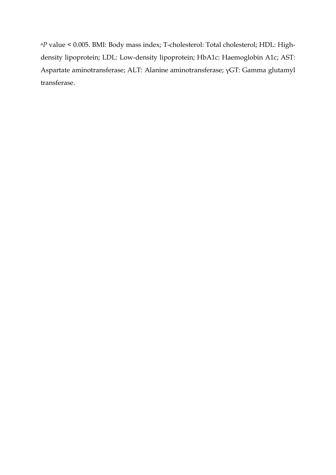<sup>a</sup>*P* value < 0.005. BMI: Body mass index; T-cholesterol: Total cholesterol; HDL: Highdensity lipoprotein; LDL: Low-density lipoprotein; HbA1c: Haemoglobin A1c; AST: Aspartate aminotransferase; ALT: Alanine aminotransferase; γGT: Gamma glutamyl transferase.